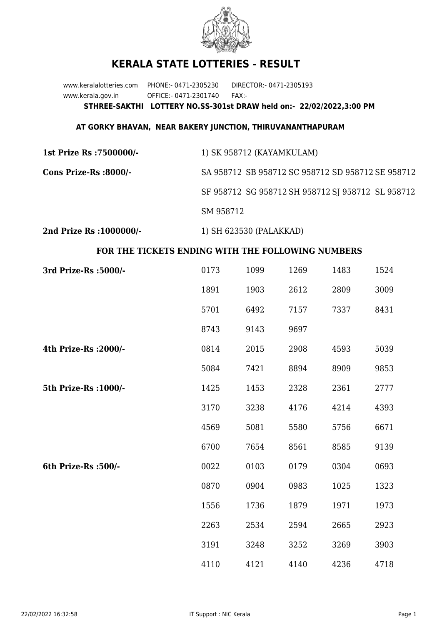

## **KERALA STATE LOTTERIES - RESULT**

www.keralalotteries.com PHONE:- 0471-2305230 DIRECTOR:- 0471-2305193 www.kerala.gov.in OFFICE:- 0471-2301740 FAX:- **STHREE-SAKTHI LOTTERY NO.SS-301st DRAW held on:- 22/02/2022,3:00 PM**

## **AT GORKY BHAVAN, NEAR BAKERY JUNCTION, THIRUVANANTHAPURAM**

| 1st Prize Rs :7500000/- | 1) SK 958712 (KAYAMKULAM)                         |
|-------------------------|---------------------------------------------------|
| Cons Prize-Rs :8000/-   | SA 958712 SB 958712 SC 958712 SD 958712 SE 958712 |
|                         | SF 958712 SG 958712 SH 958712 SJ 958712 SL 958712 |
|                         | SM 958712                                         |
|                         |                                                   |

**2nd Prize Rs :1000000/-** 1) SH 623530 (PALAKKAD)

## **FOR THE TICKETS ENDING WITH THE FOLLOWING NUMBERS**

| 3rd Prize-Rs : 5000/- | 0173 | 1099 | 1269 | 1483 | 1524 |
|-----------------------|------|------|------|------|------|
|                       | 1891 | 1903 | 2612 | 2809 | 3009 |
|                       | 5701 | 6492 | 7157 | 7337 | 8431 |
|                       | 8743 | 9143 | 9697 |      |      |
| 4th Prize-Rs : 2000/- | 0814 | 2015 | 2908 | 4593 | 5039 |
|                       | 5084 | 7421 | 8894 | 8909 | 9853 |
| 5th Prize-Rs : 1000/- | 1425 | 1453 | 2328 | 2361 | 2777 |
|                       | 3170 | 3238 | 4176 | 4214 | 4393 |
|                       | 4569 | 5081 | 5580 | 5756 | 6671 |
|                       | 6700 | 7654 | 8561 | 8585 | 9139 |
| 6th Prize-Rs :500/-   | 0022 | 0103 | 0179 | 0304 | 0693 |
|                       | 0870 | 0904 | 0983 | 1025 | 1323 |
|                       | 1556 | 1736 | 1879 | 1971 | 1973 |
|                       | 2263 | 2534 | 2594 | 2665 | 2923 |
|                       | 3191 | 3248 | 3252 | 3269 | 3903 |
|                       | 4110 | 4121 | 4140 | 4236 | 4718 |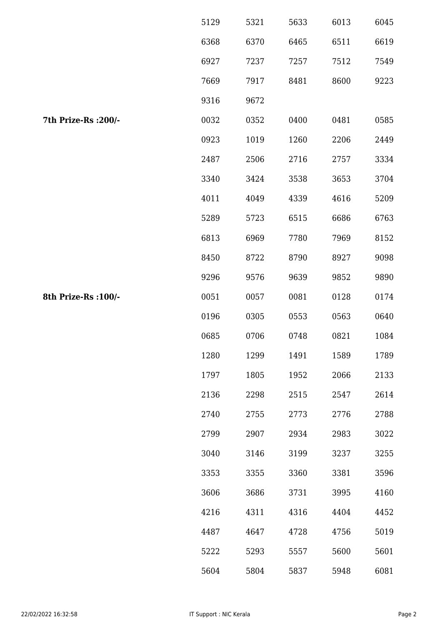|                      | 5129 | 5321 | 5633 | 6013 | 6045 |
|----------------------|------|------|------|------|------|
|                      | 6368 | 6370 | 6465 | 6511 | 6619 |
|                      | 6927 | 7237 | 7257 | 7512 | 7549 |
|                      | 7669 | 7917 | 8481 | 8600 | 9223 |
|                      | 9316 | 9672 |      |      |      |
| 7th Prize-Rs : 200/- | 0032 | 0352 | 0400 | 0481 | 0585 |
|                      | 0923 | 1019 | 1260 | 2206 | 2449 |
|                      | 2487 | 2506 | 2716 | 2757 | 3334 |
|                      | 3340 | 3424 | 3538 | 3653 | 3704 |
|                      | 4011 | 4049 | 4339 | 4616 | 5209 |
|                      | 5289 | 5723 | 6515 | 6686 | 6763 |
|                      | 6813 | 6969 | 7780 | 7969 | 8152 |
|                      | 8450 | 8722 | 8790 | 8927 | 9098 |
|                      | 9296 | 9576 | 9639 | 9852 | 9890 |
| 8th Prize-Rs : 100/- | 0051 | 0057 | 0081 | 0128 | 0174 |
|                      | 0196 | 0305 | 0553 | 0563 | 0640 |
|                      | 0685 | 0706 | 0748 | 0821 | 1084 |
|                      | 1280 | 1299 | 1491 | 1589 | 1789 |
|                      | 1797 | 1805 | 1952 | 2066 | 2133 |
|                      | 2136 | 2298 | 2515 | 2547 | 2614 |
|                      | 2740 | 2755 | 2773 | 2776 | 2788 |
|                      | 2799 | 2907 | 2934 | 2983 | 3022 |
|                      | 3040 | 3146 | 3199 | 3237 | 3255 |
|                      | 3353 | 3355 | 3360 | 3381 | 3596 |
|                      | 3606 | 3686 | 3731 | 3995 | 4160 |
|                      | 4216 | 4311 | 4316 | 4404 | 4452 |
|                      | 4487 | 4647 | 4728 | 4756 | 5019 |
|                      | 5222 | 5293 | 5557 | 5600 | 5601 |
|                      | 5604 | 5804 | 5837 | 5948 | 6081 |